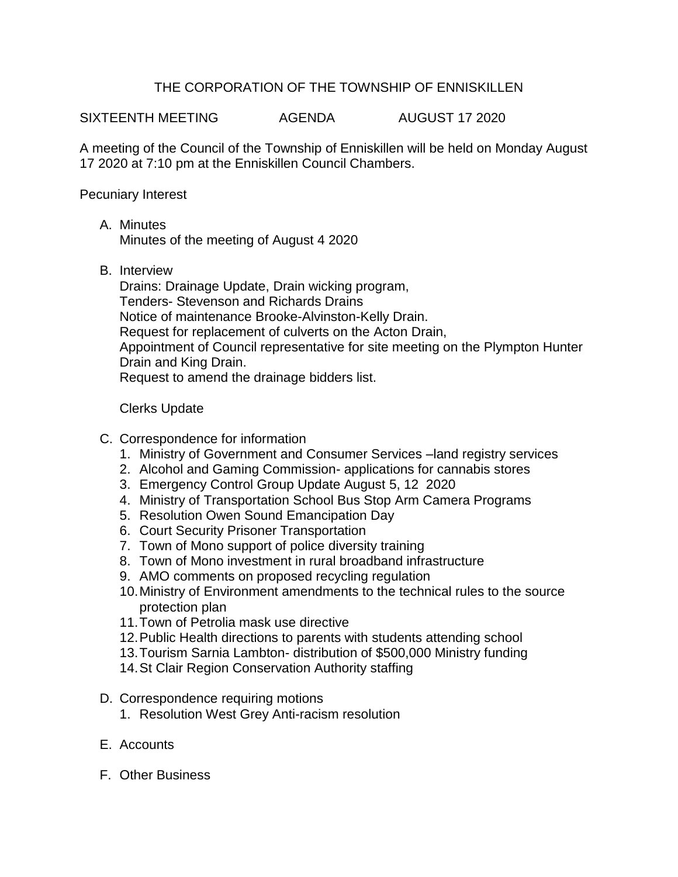## THE CORPORATION OF THE TOWNSHIP OF ENNISKILLEN

SIXTEENTH MEETING AGENDA AUGUST 17 2020

A meeting of the Council of the Township of Enniskillen will be held on Monday August 17 2020 at 7:10 pm at the Enniskillen Council Chambers.

Pecuniary Interest

A. Minutes

Minutes of the meeting of August 4 2020

B. Interview

Drains: Drainage Update, Drain wicking program, Tenders- Stevenson and Richards Drains Notice of maintenance Brooke-Alvinston-Kelly Drain. Request for replacement of culverts on the Acton Drain, Appointment of Council representative for site meeting on the Plympton Hunter Drain and King Drain. Request to amend the drainage bidders list.

Clerks Update

- C. Correspondence for information
	- 1. Ministry of Government and Consumer Services –land registry services
	- 2. Alcohol and Gaming Commission- applications for cannabis stores
	- 3. Emergency Control Group Update August 5, 12 2020
	- 4. Ministry of Transportation School Bus Stop Arm Camera Programs
	- 5. Resolution Owen Sound Emancipation Day
	- 6. Court Security Prisoner Transportation
	- 7. Town of Mono support of police diversity training
	- 8. Town of Mono investment in rural broadband infrastructure
	- 9. AMO comments on proposed recycling regulation
	- 10.Ministry of Environment amendments to the technical rules to the source protection plan
	- 11.Town of Petrolia mask use directive
	- 12.Public Health directions to parents with students attending school
	- 13.Tourism Sarnia Lambton- distribution of \$500,000 Ministry funding
	- 14.St Clair Region Conservation Authority staffing
- D. Correspondence requiring motions
	- 1. Resolution West Grey Anti-racism resolution
- E. Accounts
- F. Other Business